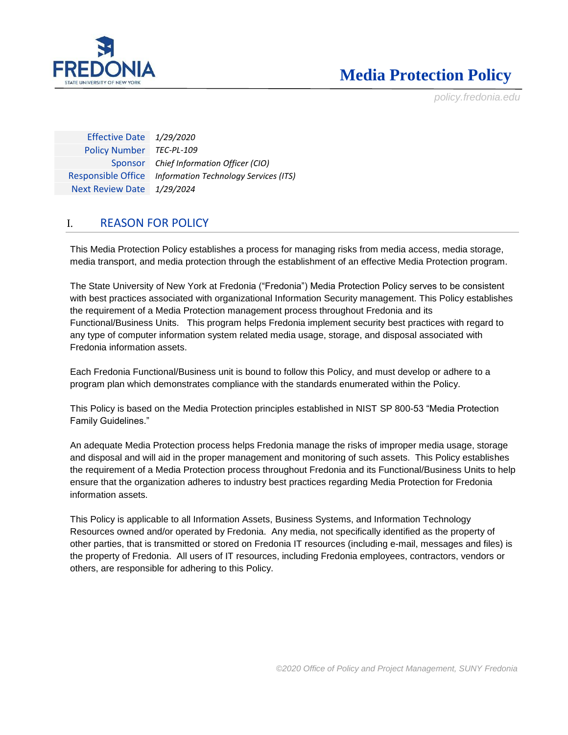

*policy.fredonia.edu*

Effective Date *1/29/2020* Policy Number *TEC-PL-109* Sponsor *Chief Information Officer (CIO)* Responsible Office *Information Technology Services (ITS)* Next Review Date *1/29/2024*

### I. REASON FOR POLICY

This Media Protection Policy establishes a process for managing risks from media access, media storage, media transport, and media protection through the establishment of an effective Media Protection program.

The State University of New York at Fredonia ("Fredonia") Media Protection Policy serves to be consistent with best practices associated with organizational Information Security management. This Policy establishes the requirement of a Media Protection management process throughout Fredonia and its Functional/Business Units. This program helps Fredonia implement security best practices with regard to any type of computer information system related media usage, storage, and disposal associated with Fredonia information assets.

Each Fredonia Functional/Business unit is bound to follow this Policy, and must develop or adhere to a program plan which demonstrates compliance with the standards enumerated within the Policy.

This Policy is based on the Media Protection principles established in NIST SP 800-53 "Media Protection Family Guidelines."

An adequate Media Protection process helps Fredonia manage the risks of improper media usage, storage and disposal and will aid in the proper management and monitoring of such assets. This Policy establishes the requirement of a Media Protection process throughout Fredonia and its Functional/Business Units to help ensure that the organization adheres to industry best practices regarding Media Protection for Fredonia information assets.

This Policy is applicable to all Information Assets, Business Systems, and Information Technology Resources owned and/or operated by Fredonia. Any media, not specifically identified as the property of other parties, that is transmitted or stored on Fredonia IT resources (including e-mail, messages and files) is the property of Fredonia. All users of IT resources, including Fredonia employees, contractors, vendors or others, are responsible for adhering to this Policy.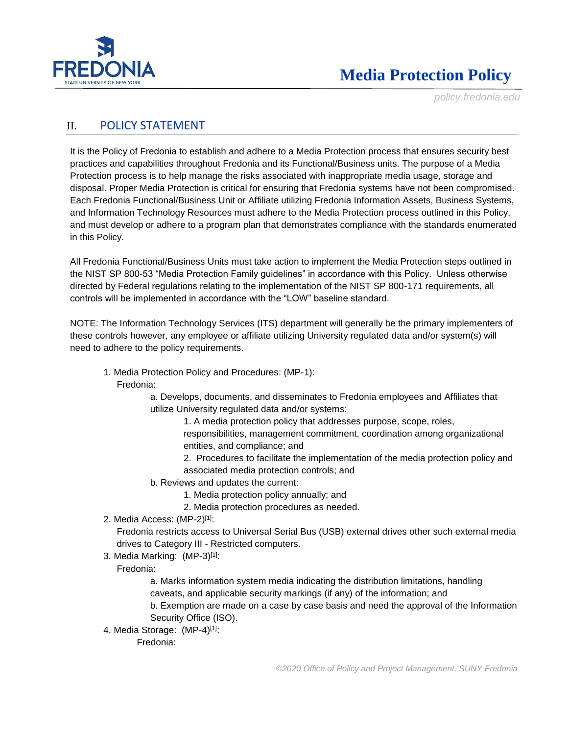

*policy.fredonia.edu*

### II. POLICY STATEMENT

It is the Policy of Fredonia to establish and adhere to a Media Protection process that ensures security best practices and capabilities throughout Fredonia and its Functional/Business units. The purpose of a Media Protection process is to help manage the risks associated with inappropriate media usage, storage and disposal. Proper Media Protection is critical for ensuring that Fredonia systems have not been compromised. Each Fredonia Functional/Business Unit or Affiliate utilizing Fredonia Information Assets, Business Systems, and Information Technology Resources must adhere to the Media Protection process outlined in this Policy, and must develop or adhere to a program plan that demonstrates compliance with the standards enumerated in this Policy.

All Fredonia Functional/Business Units must take action to implement the Media Protection steps outlined in the NIST SP 800-53 "Media Protection Family guidelines" in accordance with this Policy. Unless otherwise directed by Federal regulations relating to the implementation of the NIST SP 800-171 requirements, all controls will be implemented in accordance with the "LOW" baseline standard.

NOTE: The Information Technology Services (ITS) department will generally be the primary implementers of these controls however, any employee or affiliate utilizing University regulated data and/or system(s) will need to adhere to the policy requirements.

1. Media Protection Policy and Procedures: (MP-1):

Fredonia:

a. Develops, documents, and disseminates to Fredonia employees and Affiliates that utilize University regulated data and/or systems:

1. A media protection policy that addresses purpose, scope, roles, responsibilities, management commitment, coordination among organizational entities, and compliance; and

2. Procedures to facilitate the implementation of the media protection policy and associated media protection controls; and

- b. Reviews and updates the current:
	- 1. Media protection policy annually; and
	- 2. Media protection procedures as needed.
- 2. Media Access: (MP-2)[1]:

Fredonia restricts access to Universal Serial Bus (USB) external drives other such external media drives to Category III - Restricted computers.

3. Media Marking: (MP-3)[1]:

Fredonia:

a. Marks information system media indicating the distribution limitations, handling caveats, and applicable security markings (if any) of the information; and

b. Exemption are made on a case by case basis and need the approval of the Information Security Office (ISO).

4. Media Storage: (MP-4)[1]:

Fredonia: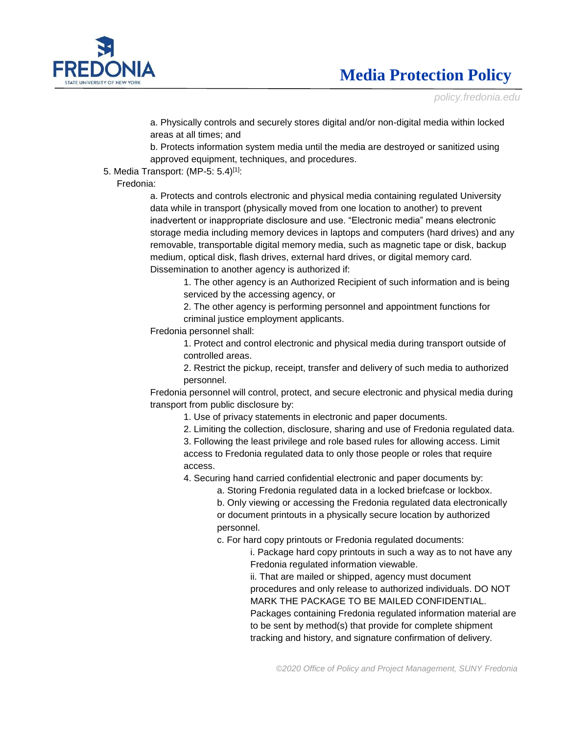

*policy.fredonia.edu*

a. Physically controls and securely stores digital and/or non-digital media within locked areas at all times; and

b. Protects information system media until the media are destroyed or sanitized using approved equipment, techniques, and procedures.

5. Media Transport: (MP-5: 5.4)[1]:

Fredonia:

a. Protects and controls electronic and physical media containing regulated University data while in transport (physically moved from one location to another) to prevent inadvertent or inappropriate disclosure and use. "Electronic media" means electronic storage media including memory devices in laptops and computers (hard drives) and any removable, transportable digital memory media, such as magnetic tape or disk, backup medium, optical disk, flash drives, external hard drives, or digital memory card. Dissemination to another agency is authorized if:

1. The other agency is an Authorized Recipient of such information and is being serviced by the accessing agency, or

2. The other agency is performing personnel and appointment functions for criminal justice employment applicants.

Fredonia personnel shall:

1. Protect and control electronic and physical media during transport outside of controlled areas.

2. Restrict the pickup, receipt, transfer and delivery of such media to authorized personnel.

Fredonia personnel will control, protect, and secure electronic and physical media during transport from public disclosure by:

- 1. Use of privacy statements in electronic and paper documents.
- 2. Limiting the collection, disclosure, sharing and use of Fredonia regulated data.

3. Following the least privilege and role based rules for allowing access. Limit access to Fredonia regulated data to only those people or roles that require access.

4. Securing hand carried confidential electronic and paper documents by:

a. Storing Fredonia regulated data in a locked briefcase or lockbox.

b. Only viewing or accessing the Fredonia regulated data electronically or document printouts in a physically secure location by authorized personnel.

c. For hard copy printouts or Fredonia regulated documents:

i. Package hard copy printouts in such a way as to not have any Fredonia regulated information viewable.

ii. That are mailed or shipped, agency must document procedures and only release to authorized individuals. DO NOT MARK THE PACKAGE TO BE MAILED CONFIDENTIAL. Packages containing Fredonia regulated information material are to be sent by method(s) that provide for complete shipment tracking and history, and signature confirmation of delivery.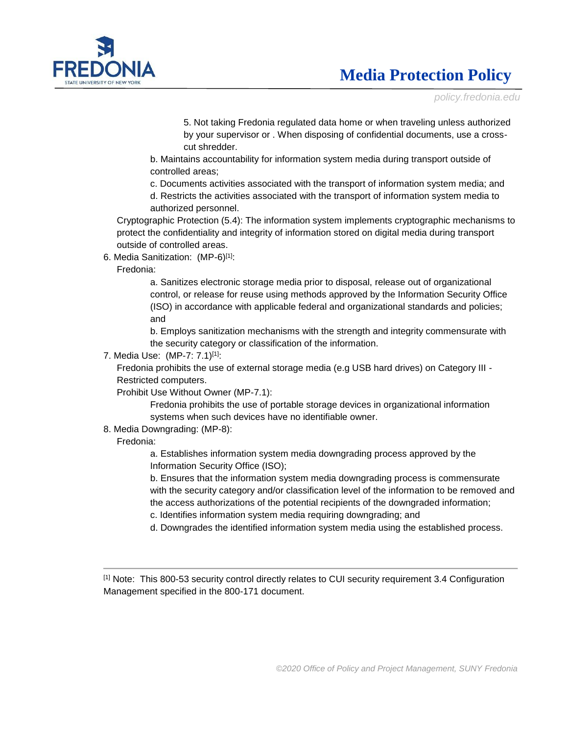

*policy.fredonia.edu*

5. Not taking Fredonia regulated data home or when traveling unless authorized by your supervisor or . When disposing of confidential documents, use a crosscut shredder.

b. Maintains accountability for information system media during transport outside of controlled areas;

c. Documents activities associated with the transport of information system media; and d. Restricts the activities associated with the transport of information system media to

authorized personnel.

Cryptographic Protection (5.4): The information system implements cryptographic mechanisms to protect the confidentiality and integrity of information stored on digital media during transport outside of controlled areas.

6. Media Sanitization: (MP-6)[1]:

#### Fredonia:

a. Sanitizes electronic storage media prior to disposal, release out of organizational control, or release for reuse using methods approved by the Information Security Office (ISO) in accordance with applicable federal and organizational standards and policies; and

b. Employs sanitization mechanisms with the strength and integrity commensurate with the security category or classification of the information.

7. Media Use: (MP-7: 7.1)[1]:

Fredonia prohibits the use of external storage media (e.g USB hard drives) on Category III - Restricted computers.

Prohibit Use Without Owner (MP-7.1):

Fredonia prohibits the use of portable storage devices in organizational information systems when such devices have no identifiable owner.

8. Media Downgrading: (MP-8):

### Fredonia:

a. Establishes information system media downgrading process approved by the Information Security Office (ISO);

b. Ensures that the information system media downgrading process is commensurate with the security category and/or classification level of the information to be removed and the access authorizations of the potential recipients of the downgraded information;

- c. Identifies information system media requiring downgrading; and
- d. Downgrades the identified information system media using the established process.

[1] Note: This 800-53 security control directly relates to CUI security requirement 3.4 Configuration Management specified in the 800-171 document.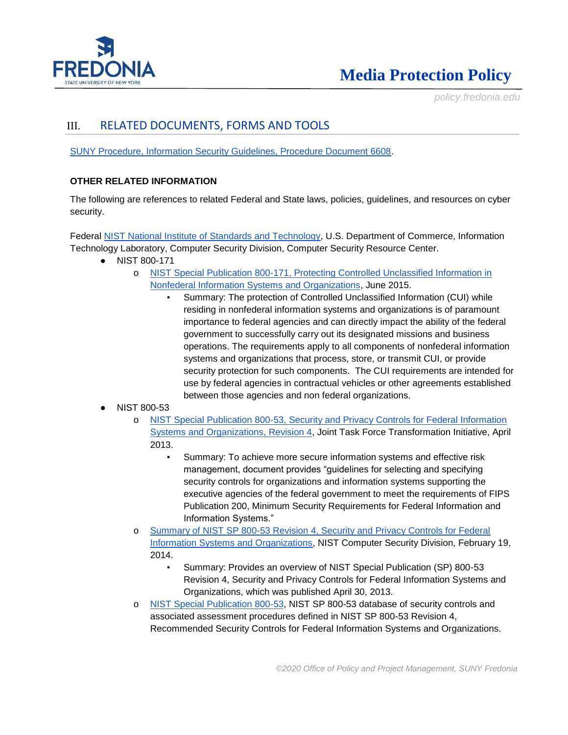

*policy.fredonia.edu*

### III. RELATED DOCUMENTS, FORMS AND TOOLS

[SUNY Procedure, Information Security Guidelines, Procedure Document 6608.](http://www.suny.edu/sunypp/documents.cfm?doc_id=583)

### **OTHER RELATED INFORMATION**

The following are references to related Federal and State laws, policies, guidelines, and resources on cyber security.

Federal [NIST National Institute of Standards and Technology,](http://csrc.nist.gov/) U.S. Department of Commerce, Information Technology Laboratory, Computer Security Division, Computer Security Resource Center.

- NIST 800-171
	- o [NIST Special Publication 800-171, Protecting Controlled Unclassified Information in](http://dx.doi.org/10.6028/NIST.SP.800-171)  [Nonfederal Information Systems and Organizations,](http://dx.doi.org/10.6028/NIST.SP.800-171) June 2015.
		- Summary: The protection of Controlled Unclassified Information (CUI) while residing in nonfederal information systems and organizations is of paramount importance to federal agencies and can directly impact the ability of the federal government to successfully carry out its designated missions and business operations. The requirements apply to all components of nonfederal information systems and organizations that process, store, or transmit CUI, or provide security protection for such components. The CUI requirements are intended for use by federal agencies in contractual vehicles or other agreements established between those agencies and non federal organizations.
- NIST 800-53
	- o [NIST Special Publication 800-53, Security and Privacy Controls for Federal Information](http://nvlpubs.nist.gov/nistpubs/SpecialPublications/NIST.SP.800-53r4.pdf)  [Systems and Organizations, Revision 4,](http://nvlpubs.nist.gov/nistpubs/SpecialPublications/NIST.SP.800-53r4.pdf) Joint Task Force Transformation Initiative, April 2013.
		- Summary: To achieve more secure information systems and effective risk management, document provides "guidelines for selecting and specifying security controls for organizations and information systems supporting the executive agencies of the federal government to meet the requirements of FIPS Publication 200, Minimum Security Requirements for Federal Information and Information Systems."
	- o [Summary of NIST SP 800-53 Revision 4, Security and Privacy Controls for Federal](http://csrc.nist.gov/publications/nistpubs/800-53-rev4/sp800-53r4_summary.pdf)  [Information Systems and Organizations,](http://csrc.nist.gov/publications/nistpubs/800-53-rev4/sp800-53r4_summary.pdf) NIST Computer Security Division, February 19, 2014.
		- Summary: Provides an overview of NIST Special Publication (SP) 800-53 Revision 4, Security and Privacy Controls for Federal Information Systems and Organizations, which was published April 30, 2013.
	- o [NIST Special Publication 800-53,](https://web.nvd.nist.gov/view/800-53/home) NIST SP 800-53 database of security controls and associated assessment procedures defined in NIST SP 800-53 Revision 4, Recommended Security Controls for Federal Information Systems and Organizations.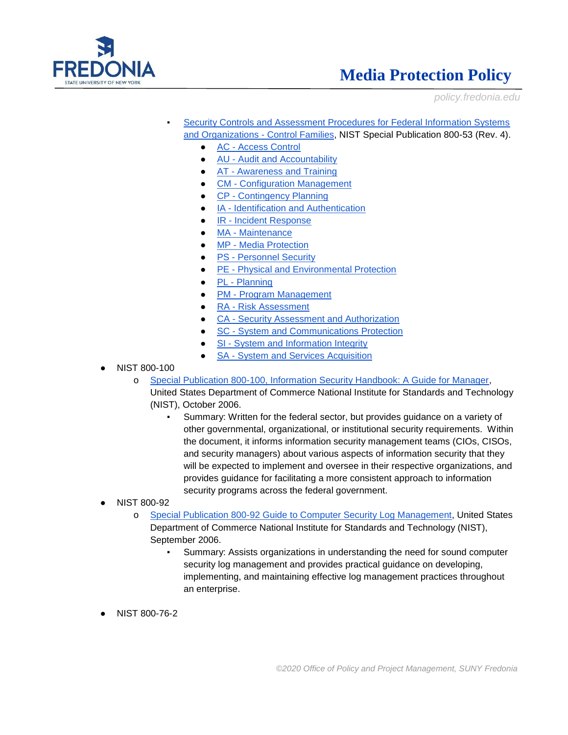

*policy.fredonia.edu*

- Security Controls and Assessment Procedures for Federal Information Systems [and Organizations -](https://web.nvd.nist.gov/view/800-53/Rev4/home) Control Families, NIST Special Publication 800-53 (Rev. 4).
	- AC [Access Control](http://web.nvd.nist.gov/view/800-53/Rev4/family?familyName=Access%20Control)
	- **AU [Audit and Accountability](http://web.nvd.nist.gov/view/800-53/Rev4/family?familyName=Audit%20and%20Accountability)**
	- AT [Awareness and Training](http://web.nvd.nist.gov/view/800-53/Rev4/family?familyName=Awareness%20and%20Training)
	- **CM [Configuration Management](http://web.nvd.nist.gov/view/800-53/Rev4/family?familyName=Configuration%20Management)**
	- CP [Contingency Planning](http://web.nvd.nist.gov/view/800-53/Rev4/family?familyName=Contingency%20Planning)
	- IA [Identification and Authentication](http://web.nvd.nist.gov/view/800-53/Rev4/family?familyName=Identification%20and%20Authentication)
	- IR [Incident Response](http://web.nvd.nist.gov/view/800-53/Rev4/family?familyName=Incident%20Response)
	- MA [Maintenance](http://web.nvd.nist.gov/view/800-53/Rev4/family?familyName=Maintenance)
	- MP [Media Protection](http://web.nvd.nist.gov/view/800-53/Rev4/family?familyName=Media%20Protection)
	- PS [Personnel Security](http://web.nvd.nist.gov/view/800-53/Rev4/family?familyName=Personnel%20Security)
	- PE [Physical and Environmental Protection](http://web.nvd.nist.gov/view/800-53/Rev4/family?familyName=Physical%20and%20Environmental%20Protection)
	- PL [Planning](http://web.nvd.nist.gov/view/800-53/Rev4/family?familyName=Planning)
	- PM [Program Management](http://web.nvd.nist.gov/view/800-53/Rev4/family?familyName=Program%20Management)
	- RA [Risk Assessment](http://web.nvd.nist.gov/view/800-53/Rev4/family?familyName=Risk%20Assessment)
	- CA [Security Assessment and Authorization](http://web.nvd.nist.gov/view/800-53/Rev4/family?familyName=Security%20Assessment%20and%20Authorization)
	- SC [System and Communications Protection](http://web.nvd.nist.gov/view/800-53/Rev4/family?familyName=System%20and%20Communications%20Protection)
	- SI [System and Information Integrity](http://web.nvd.nist.gov/view/800-53/Rev4/family?familyName=System%20and%20Information%20Integrity)
	- SA [System and Services Acquisition](http://web.nvd.nist.gov/view/800-53/Rev4/family?familyName=System%20and%20Services%20Acquisition)
- NIST 800-100
	- o [Special Publication 800-100, Information Security Handbook: A Guide for Manager,](http://csrc.nist.gov/publications/nistpubs/800-100/SP800-100-Mar07-2007.pdf)
		- United States Department of Commerce National Institute for Standards and Technology (NIST), October 2006.
			- Summary: Written for the federal sector, but provides guidance on a variety of other governmental, organizational, or institutional security requirements. Within the document, it informs information security management teams (CIOs, CISOs, and security managers) about various aspects of information security that they will be expected to implement and oversee in their respective organizations, and provides guidance for facilitating a more consistent approach to information security programs across the federal government.
- NIST 800-92
	- o [Special Publication 800-92 Guide to Computer Security Log Management,](http://csrc.nist.gov/publications/nistpubs/800-92/SP800-92.pdf) United States Department of Commerce National Institute for Standards and Technology (NIST), September 2006.
		- Summary: Assists organizations in understanding the need for sound computer security log management and provides practical guidance on developing, implementing, and maintaining effective log management practices throughout an enterprise.
- NIST 800-76-2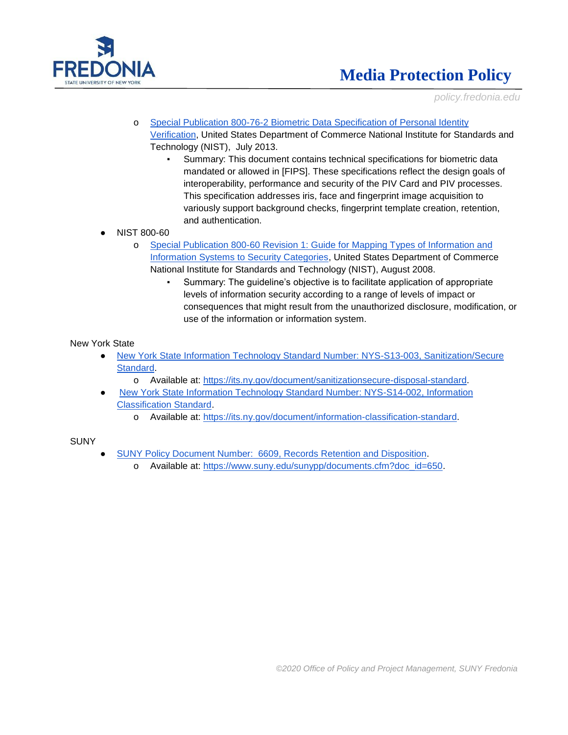

*policy.fredonia.edu*

- o [Special Publication 800-76-2 Biometric Data Specification of Personal Identity](http://dx.doi.org/10.6028/NIST.SP.800-76-2)  [Verification,](http://dx.doi.org/10.6028/NIST.SP.800-76-2) United States Department of Commerce National Institute for Standards and Technology (NIST), July 2013.
	- Summary: This document contains technical specifications for biometric data mandated or allowed in [FIPS]. These specifications reflect the design goals of interoperability, performance and security of the PIV Card and PIV processes. This specification addresses iris, face and fingerprint image acquisition to variously support background checks, fingerprint template creation, retention, and authentication.
- NIST 800-60
	- o [Special Publication 800-60 Revision 1: Guide for Mapping Types of Information and](http://dx.doi.org/10.6028/NIST.SP.800-60v1r1)  [Information Systems to Security Categories,](http://dx.doi.org/10.6028/NIST.SP.800-60v1r1) United States Department of Commerce National Institute for Standards and Technology (NIST), August 2008.
		- Summary: The guideline's objective is to facilitate application of appropriate levels of information security according to a range of levels of impact or consequences that might result from the unauthorized disclosure, modification, or use of the information or information system.

#### New York State

- [New York State Information Technology Standard Number: NYS-S13-003, Sanitization/Secure](https://its.ny.gov/document/sanitizationsecure-disposal-standard)  [Standard.](https://its.ny.gov/document/sanitizationsecure-disposal-standard)
	- o Available at: [https://its.ny.gov/document/sanitizationsecure-disposal-standard.](https://its.ny.gov/document/sanitizationsecure-disposal-standard)
	- New York State Information Technology Standard Number: NYS-S14-002, Information [Classification Standard.](https://its.ny.gov/document/information-classification-standard)
		- o Available at: [https://its.ny.gov/document/information-classification-standard.](https://its.ny.gov/document/information-classification-standard)

#### SUNY

- [SUNY Policy Document Number: 6609, Records Retention and Disposition.](https://www.suny.edu/sunypp/documents.cfm?doc_id=650)
	- o Available at: [https://www.suny.edu/sunypp/documents.cfm?doc\\_id=650.](https://www.suny.edu/sunypp/documents.cfm?doc_id=650)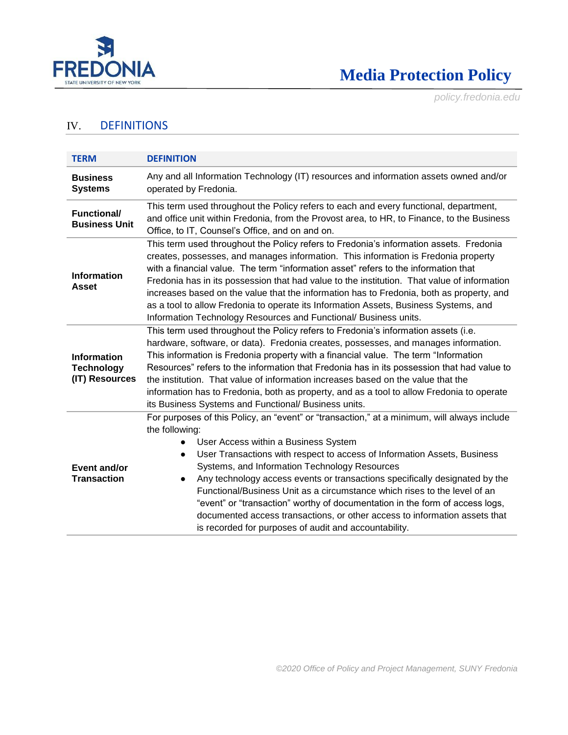

*policy.fredonia.edu*

### IV. DEFINITIONS

| <b>TERM</b>                                               | <b>DEFINITION</b>                                                                                                                                                                                                                                                                                                                                                                                                                                                                                                                                                                                                                                                                                            |  |  |  |
|-----------------------------------------------------------|--------------------------------------------------------------------------------------------------------------------------------------------------------------------------------------------------------------------------------------------------------------------------------------------------------------------------------------------------------------------------------------------------------------------------------------------------------------------------------------------------------------------------------------------------------------------------------------------------------------------------------------------------------------------------------------------------------------|--|--|--|
| <b>Business</b><br><b>Systems</b>                         | Any and all Information Technology (IT) resources and information assets owned and/or<br>operated by Fredonia.                                                                                                                                                                                                                                                                                                                                                                                                                                                                                                                                                                                               |  |  |  |
| <b>Functional/</b><br><b>Business Unit</b>                | This term used throughout the Policy refers to each and every functional, department,<br>and office unit within Fredonia, from the Provost area, to HR, to Finance, to the Business<br>Office, to IT, Counsel's Office, and on and on.                                                                                                                                                                                                                                                                                                                                                                                                                                                                       |  |  |  |
| <b>Information</b><br><b>Asset</b>                        | This term used throughout the Policy refers to Fredonia's information assets. Fredonia<br>creates, possesses, and manages information. This information is Fredonia property<br>with a financial value. The term "information asset" refers to the information that<br>Fredonia has in its possession that had value to the institution. That value of information<br>increases based on the value that the information has to Fredonia, both as property, and<br>as a tool to allow Fredonia to operate its Information Assets, Business Systems, and<br>Information Technology Resources and Functional/ Business units.                                                                                   |  |  |  |
| <b>Information</b><br><b>Technology</b><br>(IT) Resources | This term used throughout the Policy refers to Fredonia's information assets (i.e.<br>hardware, software, or data). Fredonia creates, possesses, and manages information.<br>This information is Fredonia property with a financial value. The term "Information<br>Resources" refers to the information that Fredonia has in its possession that had value to<br>the institution. That value of information increases based on the value that the<br>information has to Fredonia, both as property, and as a tool to allow Fredonia to operate<br>its Business Systems and Functional/ Business units.                                                                                                      |  |  |  |
| Event and/or<br><b>Transaction</b>                        | For purposes of this Policy, an "event" or "transaction," at a minimum, will always include<br>the following:<br>User Access within a Business System<br>$\bullet$<br>User Transactions with respect to access of Information Assets, Business<br>$\bullet$<br>Systems, and Information Technology Resources<br>Any technology access events or transactions specifically designated by the<br>$\bullet$<br>Functional/Business Unit as a circumstance which rises to the level of an<br>"event" or "transaction" worthy of documentation in the form of access logs,<br>documented access transactions, or other access to information assets that<br>is recorded for purposes of audit and accountability. |  |  |  |